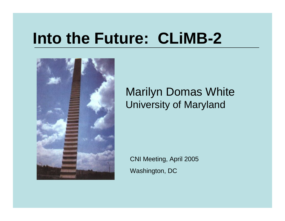# **Into the Future: CLiMB-2**



#### Marilyn Domas White University of Maryland

CNI Meeting, April 2005 Washington, DC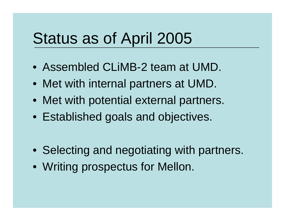## Status as of April 2005

- Assembled CLiMB-2 team at UMD.
- Met with internal partners at UMD.
- Met with potential external partners.
- Established goals and objectives.

- Selecting and negotiating with partners.
- Writing prospectus for Mellon.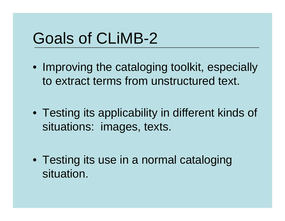# Goals of CLiMB-2

- Improving the cataloging toolkit, especially to extract terms from unstructured text.
- Testing its applicability in different kinds of situations: images, texts.

• Testing its use in a normal cataloging situation.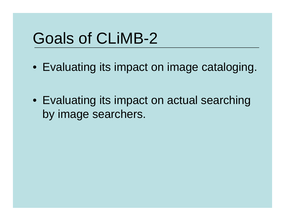# Goals of CLiMB-2

• Evaluating its impact on image cataloging.

• Evaluating its impact on actual searching by image searchers.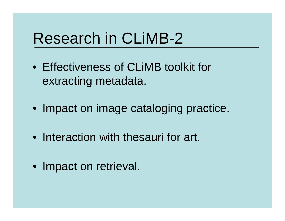## Research in CLiMB-2

- Effectiveness of CLiMB toolkit for extracting metadata.
- Impact on image cataloging practice.
- Interaction with thesauri for art.
- Impact on retrieval.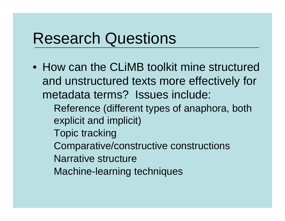- How can the CLiMB toolkit mine structured and unstructured texts more effectively for metadata terms? Issues include:
	- Reference (different types of anaphora, both explicit and implicit)
	- Topic tracking
	- Comparative/constructive constructions
	- Narrative structure
	- Machine-learning techniques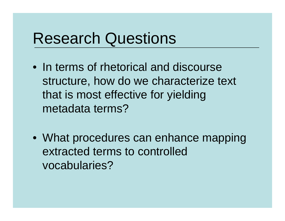- In terms of rhetorical and discourse structure, how do we characterize text that is most effective for yielding metadata terms?
- What procedures can enhance mapping extracted terms to controlled vocabularies?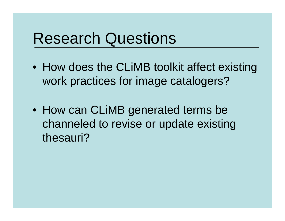- How does the CLiMB toolkit affect existing work practices for image catalogers?
- How can CLiMB generated terms be channeled to revise or update existing thesauri?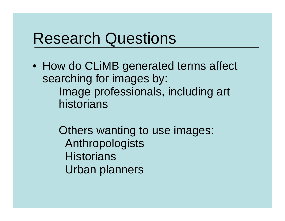- How do CLiMB generated terms affect searching for images by: Image professionals, including art historians
	- Others wanting to use images: Anthropologists **Historians** Urban planners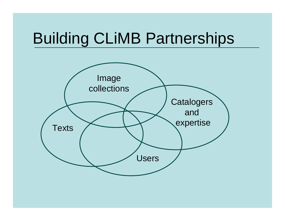# Building CLiMB Partnerships

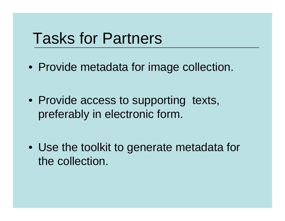## Tasks for Partners

• Provide metadata for image collection.

• Provide access to supporting texts, preferably in electronic form.

• Use the toolkit to generate metadata for the collection.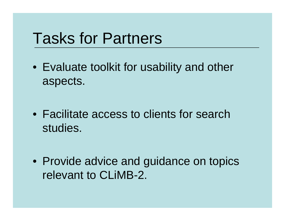## Tasks for Partners

• Evaluate toolkit for usability and other aspects.

•Facilitate access to clients for search studies.

• Provide advice and guidance on topics relevant to CLiMB-2.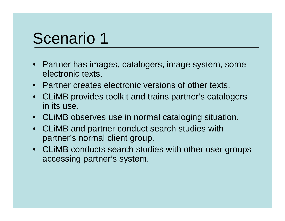## Scenario 1

- Partner has images, catalogers, image system, some electronic texts.
- Partner creates electronic versions of other texts.
- • CLiMB provides toolkit and trains partner's catalogers in its use.
- CLiMB observes use in normal cataloging situation.
- $\bullet$  CLiMB and partner conduct search studies with partner's normal client group.
- CLiMB conducts search studies with other user groups accessing partner's system.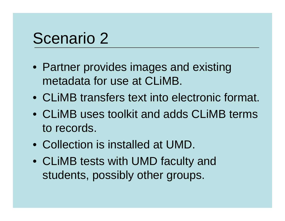## Scenario 2

- Partner provides images and existing metadata for use at CLiMB.
- CLiMB transfers text into electronic format.
- CLiMB uses toolkit and adds CLiMB terms to records.
- Collection is installed at UMD.
- CLiMB tests with UMD faculty and students, possibly other groups.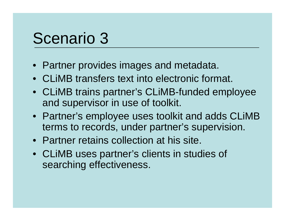## Scenario 3

- Partner provides images and metadata.
- CLiMB transfers text into electronic format.
- CLiMB trains partner's CLiMB-funded employee and supervisor in use of toolkit.
- Partner's employee uses toolkit and adds CLiMB terms to records, under partner's supervision.
- Partner retains collection at his site.
- CLiMB uses partner's clients in studies of searching effectiveness.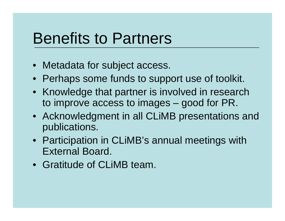## Benefits to Partners

- Metadata for subject access.
- Perhaps some funds to support use of toolkit.
- Knowledge that partner is involved in research to improve access to images – good for PR.
- Acknowledgment in all CLiMB presentations and publications.
- Participation in CLiMB's annual meetings with External Board.
- Gratitude of CLiMB team.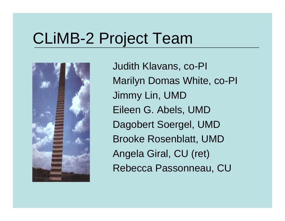# CLiMB-2 Project Team



Judith Klavans, co-PI Marilyn Domas White, co-PI Jimmy Lin, UMD Eileen G. Abels, UMD Dagobert Soergel, UMD Brooke Rosenblatt, UMD Angela Giral, CU (ret) Rebecca Passonneau, CU